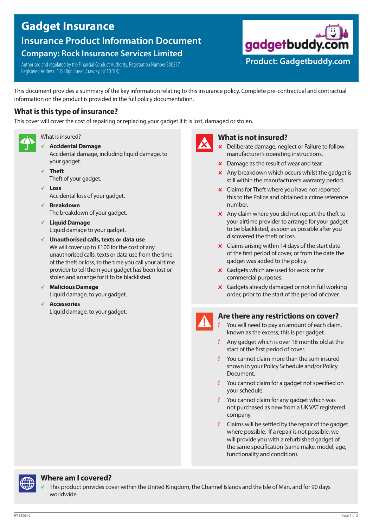# **Gadget Insurance**

**Insurance Product Information Document**

# **Company: Rock Insurance Services Limited**

Authorised and regulated by the Financial Conduct Authority. Registration Number 300317 Registered Address: 135 High Street, Crawley, RH10 1DQ



# **What is this type of insurance?**

This cover will cover the cost of repairing or replacing your gadget if it is lost, damaged or stolen.



What is insured?

- b **Accidental Damage** Accidental damage, including liquid damage, to
- your gadget. b **Theft**
- Theft of your gadget. b **Loss**

Accidental loss of your gadget.

- b **Breakdown** The breakdown of your gadget.
- b **Liquid Damage** Liquid damage to your gadget.
- b **Unauthorised calls, texts or data use** We will cover up to £100 for the cost of any unauthorised calls, texts or data use from the time of the theft or loss, to the time you call your airtime provider to tell them your gadget has been lost or stolen and arrange for it to be blacklisted.
- b **Malicious Damage** Liquid damage, to your gadget.
- b **Accessories** Liquid damage, to your gadget.



## **What is not insured?**

 $\times$  Deliberate damage, neglect or Failure to follow manufacturer's operating instructions.

**Product: Gadgetbuddy.com**

gadgetbuddy.com

- $\times$  Damage as the result of wear and tear.
- $\times$  Any breakdown which occurs whilst the gadget is still within the manufacturer's warranty period.
- $\times$  Claims for Theft where you have not reported this to the Police and obtained a crime reference number.
- $x$  Any claim where you did not report the theft to your airtime provider to arrange for your gadget to be blacklisted, as soon as possible after you discovered the theft or loss.
- $\times$  Claims arising within 14 days of the start date of the first period of cover, or from the date the gadget was added to the policy.
- $\times$  Gadgets which are used for work or for commercial purposes.
- $\boldsymbol{\times}$  Gadgets already damaged or not in full working order, prior to the start of the period of cover.

# **Are there any restrictions on cover?**

- You will need to pay an amount of each claim, known as the excess; this is per gadget.
- Any gadget which is over 18 months old at the start of the first period of cover.
- You cannot claim more than the sum insured shown in your Policy Schedule and/or Policy Document.
- **!** You cannot claim for a gadget not specified on your schedule.
- $\mathbf{l}$  You cannot claim for any gadget which was not purchased as new from a UK VAT registered company.
- Claims will be settled by the repair of the gadget where possible. If a repair is not possible, we will provide you with a refurbished gadget of the same specification (same make, model, age, functionality and condition).



# **Where am I covered?**

This product provides cover within the United Kingdom, the Channel Islands and the Isle of Man, and for 90 days worldwide.